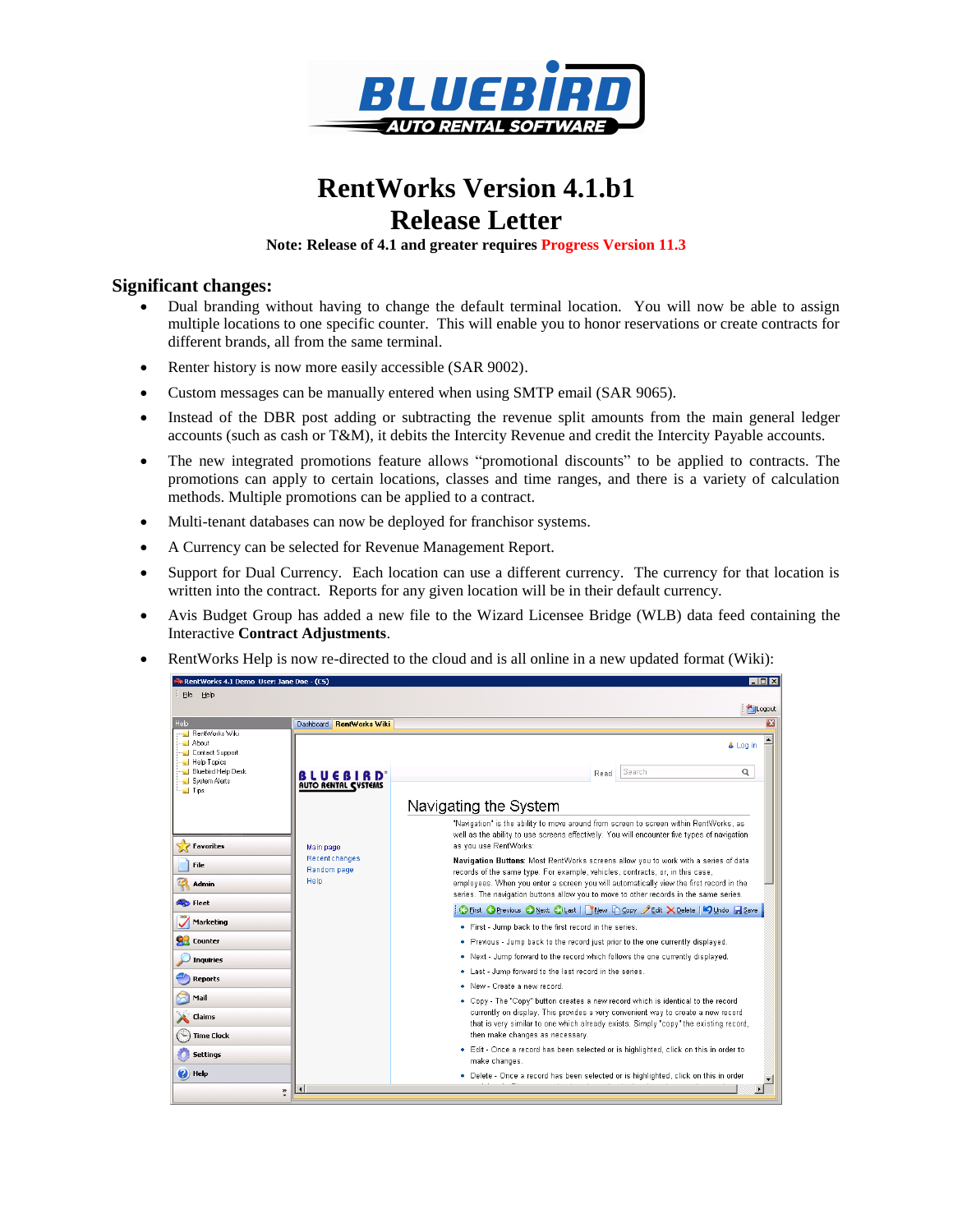

# **RentWorks Version 4.1.b1 Release Letter**

**Note: Release of 4.1 and greater requires Progress Version 11.3** 

#### **Significant changes:**

- Dual branding without having to change the default terminal location. You will now be able to assign multiple locations to one specific counter. This will enable you to honor reservations or create contracts for different brands, all from the same terminal.
- Renter history is now more easily accessible (SAR 9002).
- Custom messages can be manually entered when using SMTP email (SAR 9065).
- Instead of the DBR post adding or subtracting the revenue split amounts from the main general ledger accounts (such as cash or T&M), it debits the Intercity Revenue and credit the Intercity Payable accounts.
- The new integrated promotions feature allows "promotional discounts" to be applied to contracts. The promotions can apply to certain locations, classes and time ranges, and there is a variety of calculation methods. Multiple promotions can be applied to a contract.
- Multi-tenant databases can now be deployed for franchisor systems.
- A Currency can be selected for Revenue Management Report.
- Support for Dual Currency. Each location can use a different currency. The currency for that location is written into the contract. Reports for any given location will be in their default currency.
- Avis Budget Group has added a new file to the Wizard Licensee Bridge (WLB) data feed containing the Interactive **Contract Adjustments**.
- RentWorks Help is now re-directed to the cloud and is all online in a new updated format (Wiki):

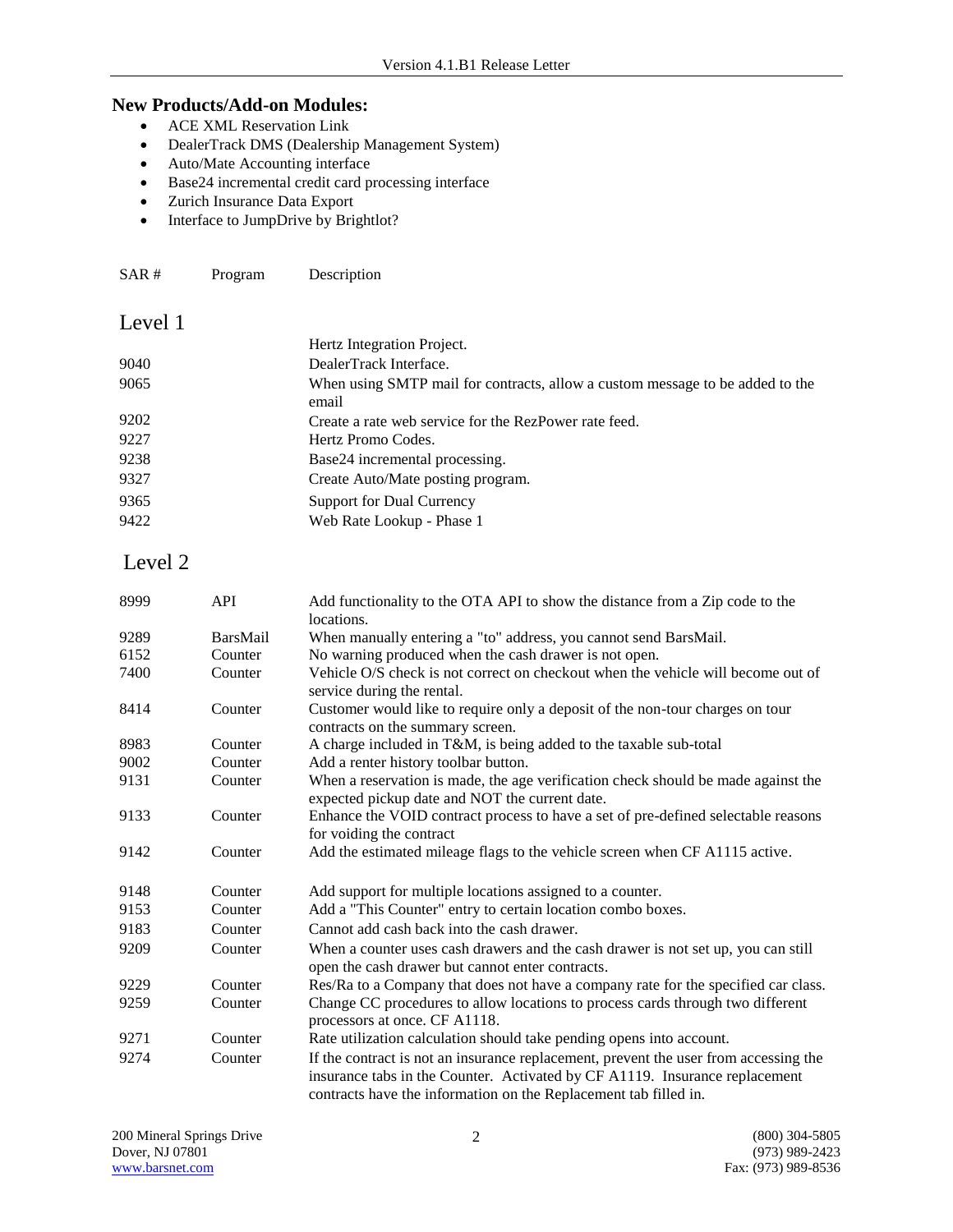#### **New Products/Add-on Modules:**

- ACE XML Reservation Link
- DealerTrack DMS (Dealership Management System)
- Auto/Mate Accounting interface
- Base24 incremental credit card processing interface
- Zurich Insurance Data Export
- Interface to JumpDrive by Brightlot?

SAR # Program Description

### Level 1

|      | Hertz Integration Project.                                                             |
|------|----------------------------------------------------------------------------------------|
| 9040 | DealerTrack Interface.                                                                 |
| 9065 | When using SMTP mail for contracts, allow a custom message to be added to the<br>email |
| 9202 | Create a rate web service for the RezPower rate feed.                                  |
| 9227 | Hertz Promo Codes.                                                                     |
| 9238 | Base24 incremental processing.                                                         |
| 9327 | Create Auto/Mate posting program.                                                      |
| 9365 | Support for Dual Currency                                                              |
| 9422 | Web Rate Lookup - Phase 1                                                              |
|      |                                                                                        |

## Level 2

| 8999 | <b>API</b>      | Add functionality to the OTA API to show the distance from a Zip code to the<br>locations.                                                                                                                                              |
|------|-----------------|-----------------------------------------------------------------------------------------------------------------------------------------------------------------------------------------------------------------------------------------|
| 9289 | <b>BarsMail</b> | When manually entering a "to" address, you cannot send BarsMail.                                                                                                                                                                        |
| 6152 | Counter         | No warning produced when the cash drawer is not open.                                                                                                                                                                                   |
| 7400 | Counter         | Vehicle O/S check is not correct on checkout when the vehicle will become out of<br>service during the rental.                                                                                                                          |
| 8414 | Counter         | Customer would like to require only a deposit of the non-tour charges on tour<br>contracts on the summary screen.                                                                                                                       |
| 8983 | Counter         | A charge included in T&M, is being added to the taxable sub-total                                                                                                                                                                       |
| 9002 | Counter         | Add a renter history toolbar button.                                                                                                                                                                                                    |
| 9131 | Counter         | When a reservation is made, the age verification check should be made against the<br>expected pickup date and NOT the current date.                                                                                                     |
| 9133 | Counter         | Enhance the VOID contract process to have a set of pre-defined selectable reasons<br>for voiding the contract                                                                                                                           |
| 9142 | Counter         | Add the estimated mileage flags to the vehicle screen when CF A1115 active.                                                                                                                                                             |
| 9148 | Counter         | Add support for multiple locations assigned to a counter.                                                                                                                                                                               |
| 9153 | Counter         | Add a "This Counter" entry to certain location combo boxes.                                                                                                                                                                             |
| 9183 | Counter         | Cannot add cash back into the cash drawer.                                                                                                                                                                                              |
| 9209 | Counter         | When a counter uses cash drawers and the cash drawer is not set up, you can still<br>open the cash drawer but cannot enter contracts.                                                                                                   |
| 9229 | Counter         | Res/Ra to a Company that does not have a company rate for the specified car class.                                                                                                                                                      |
| 9259 | Counter         | Change CC procedures to allow locations to process cards through two different<br>processors at once. CF A1118.                                                                                                                         |
| 9271 | Counter         | Rate utilization calculation should take pending opens into account.                                                                                                                                                                    |
| 9274 | Counter         | If the contract is not an insurance replacement, prevent the user from accessing the<br>insurance tabs in the Counter. Activated by CF A1119. Insurance replacement<br>contracts have the information on the Replacement tab filled in. |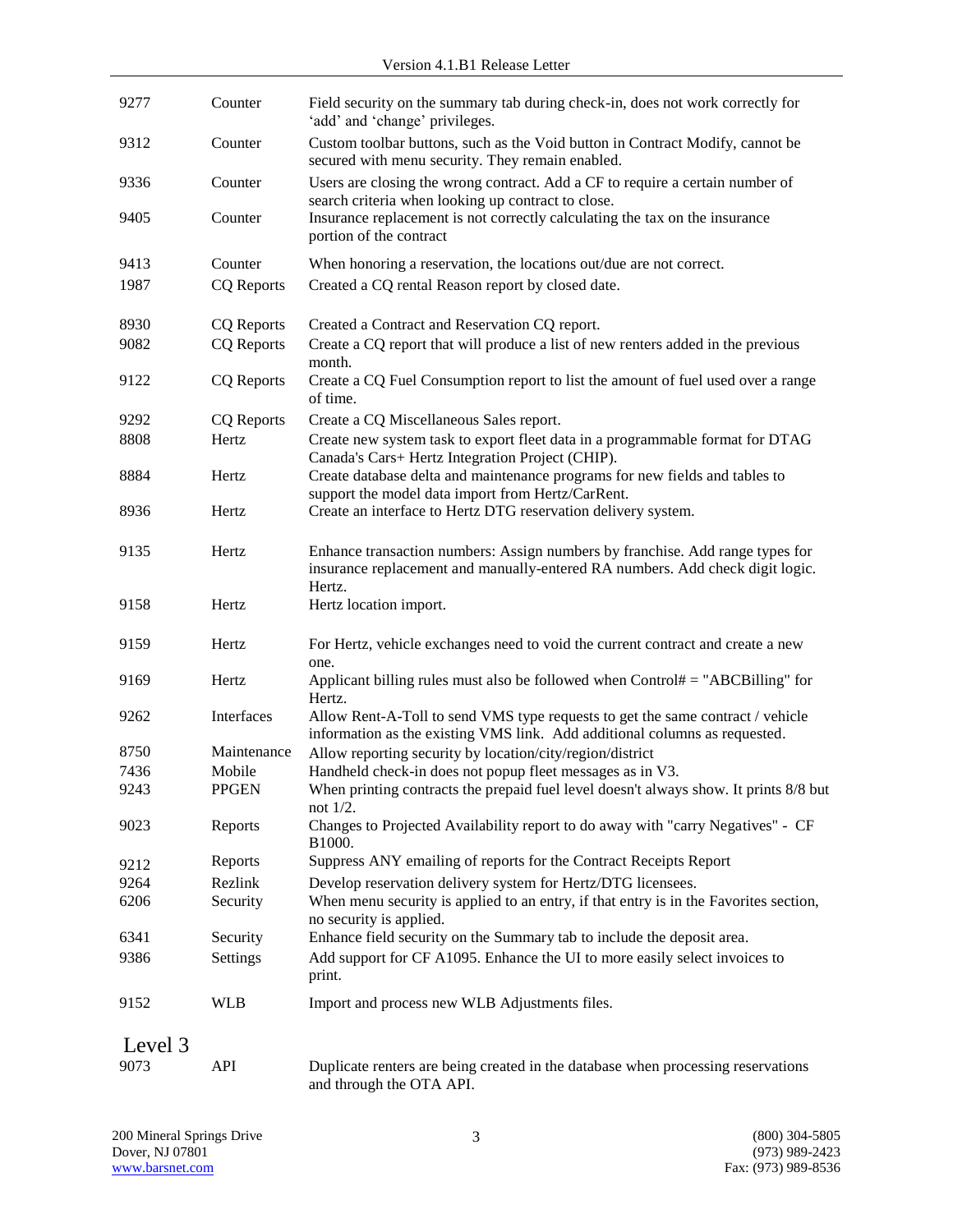| 9277         | Counter                | Field security on the summary tab during check-in, does not work correctly for<br>'add' and 'change' privileges.                                                         |
|--------------|------------------------|--------------------------------------------------------------------------------------------------------------------------------------------------------------------------|
| 9312         | Counter                | Custom toolbar buttons, such as the Void button in Contract Modify, cannot be<br>secured with menu security. They remain enabled.                                        |
| 9336         | Counter                | Users are closing the wrong contract. Add a CF to require a certain number of<br>search criteria when looking up contract to close.                                      |
| 9405         | Counter                | Insurance replacement is not correctly calculating the tax on the insurance<br>portion of the contract                                                                   |
| 9413         | Counter                | When honoring a reservation, the locations out/due are not correct.                                                                                                      |
| 1987         | <b>CQ</b> Reports      | Created a CQ rental Reason report by closed date.                                                                                                                        |
| 8930         | <b>CQ</b> Reports      | Created a Contract and Reservation CQ report.                                                                                                                            |
| 9082         | <b>CQ</b> Reports      | Create a CQ report that will produce a list of new renters added in the previous<br>month.                                                                               |
| 9122         | <b>CQ</b> Reports      | Create a CQ Fuel Consumption report to list the amount of fuel used over a range<br>of time.                                                                             |
| 9292         | <b>CQ</b> Reports      | Create a CQ Miscellaneous Sales report.                                                                                                                                  |
| 8808         | Hertz                  | Create new system task to export fleet data in a programmable format for DTAG<br>Canada's Cars+ Hertz Integration Project (CHIP).                                        |
| 8884         | Hertz                  | Create database delta and maintenance programs for new fields and tables to<br>support the model data import from Hertz/CarRent.                                         |
| 8936         | Hertz                  | Create an interface to Hertz DTG reservation delivery system.                                                                                                            |
| 9135         | Hertz                  | Enhance transaction numbers: Assign numbers by franchise. Add range types for<br>insurance replacement and manually-entered RA numbers. Add check digit logic.<br>Hertz. |
| 9158         | Hertz                  | Hertz location import.                                                                                                                                                   |
| 9159         | Hertz                  | For Hertz, vehicle exchanges need to void the current contract and create a new<br>one.                                                                                  |
| 9169         | Hertz                  | Applicant billing rules must also be followed when $Control# = "ABCBilling"$ for<br>Hertz.                                                                               |
| 9262         | Interfaces             | Allow Rent-A-Toll to send VMS type requests to get the same contract / vehicle<br>information as the existing VMS link. Add additional columns as requested.             |
| 8750         | Maintenance            | Allow reporting security by location/city/region/district                                                                                                                |
| 7436<br>9243 | Mobile<br><b>PPGEN</b> | Handheld check-in does not popup fleet messages as in V3.<br>When printing contracts the prepaid fuel level doesn't always show. It prints 8/8 but                       |
| 9023         | Reports                | not $1/2$ .<br>Changes to Projected Availability report to do away with "carry Negatives" - CF<br>B <sub>1000</sub> .                                                    |
| 9212         | Reports                | Suppress ANY emailing of reports for the Contract Receipts Report                                                                                                        |
| 9264         | Rezlink                | Develop reservation delivery system for Hertz/DTG licensees.                                                                                                             |
| 6206         | Security               | When menu security is applied to an entry, if that entry is in the Favorites section,<br>no security is applied.                                                         |
| 6341         | Security               | Enhance field security on the Summary tab to include the deposit area.                                                                                                   |
| 9386         | Settings               | Add support for CF A1095. Enhance the UI to more easily select invoices to<br>print.                                                                                     |
| 9152         | <b>WLB</b>             | Import and process new WLB Adjustments files.                                                                                                                            |
| Level 3      |                        |                                                                                                                                                                          |
| 9073         | API                    | Duplicate renters are being created in the database when processing reservations<br>and through the OTA API.                                                             |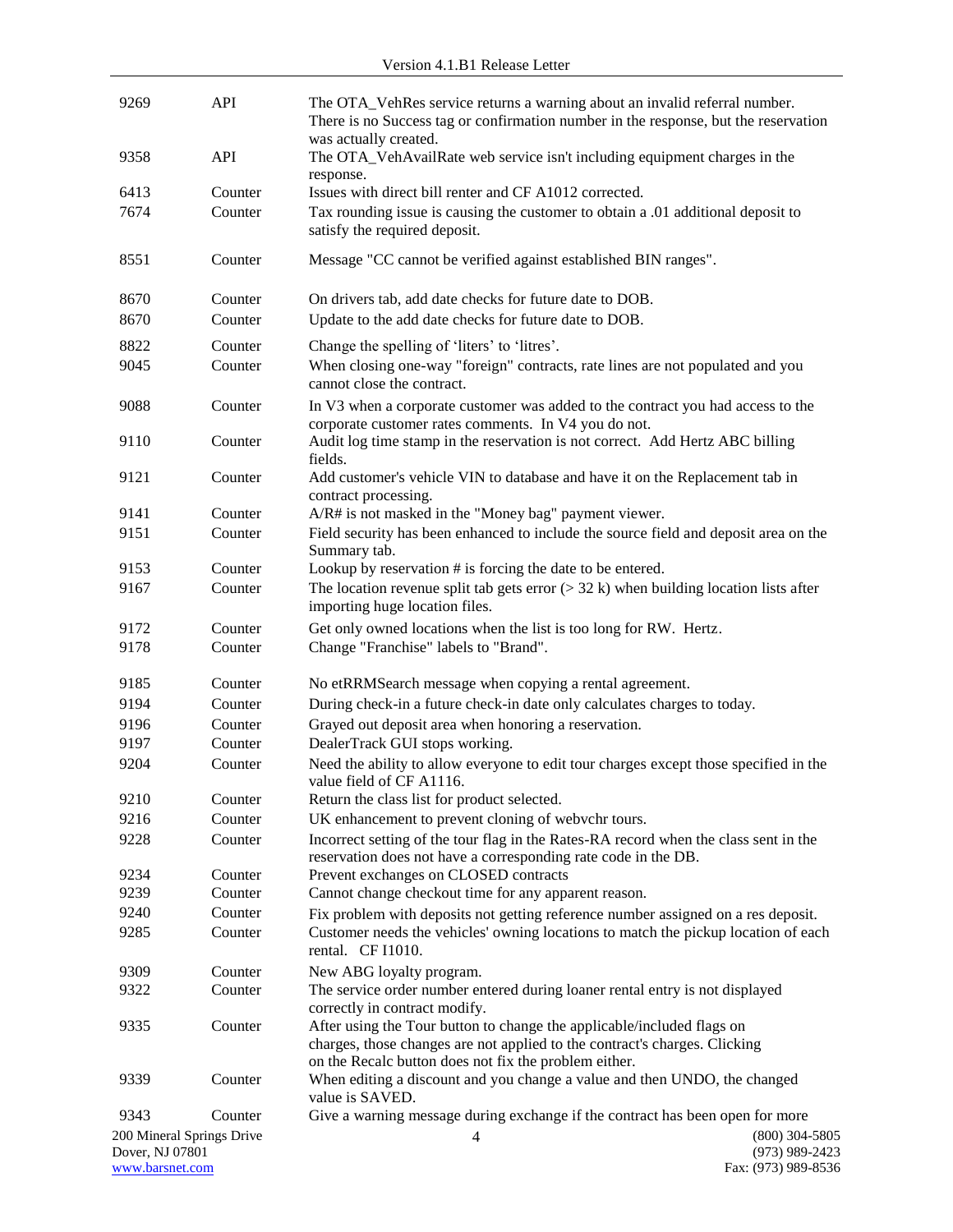| 9269                               | <b>API</b>                | The OTA_VehRes service returns a warning about an invalid referral number.<br>There is no Success tag or confirmation number in the response, but the reservation                                             |                                         |
|------------------------------------|---------------------------|---------------------------------------------------------------------------------------------------------------------------------------------------------------------------------------------------------------|-----------------------------------------|
| 9358                               | API                       | was actually created.<br>The OTA_VehAvailRate web service isn't including equipment charges in the                                                                                                            |                                         |
| 6413                               | Counter                   | response.<br>Issues with direct bill renter and CF A1012 corrected.                                                                                                                                           |                                         |
| 7674                               | Counter                   | Tax rounding issue is causing the customer to obtain a .01 additional deposit to<br>satisfy the required deposit.                                                                                             |                                         |
| 8551                               | Counter                   | Message "CC cannot be verified against established BIN ranges".                                                                                                                                               |                                         |
| 8670                               | Counter                   | On drivers tab, add date checks for future date to DOB.                                                                                                                                                       |                                         |
| 8670                               | Counter                   | Update to the add date checks for future date to DOB.                                                                                                                                                         |                                         |
| 8822                               | Counter                   | Change the spelling of 'liters' to 'litres'.                                                                                                                                                                  |                                         |
| 9045                               | Counter                   | When closing one-way "foreign" contracts, rate lines are not populated and you<br>cannot close the contract.                                                                                                  |                                         |
| 9088                               | Counter                   | In V3 when a corporate customer was added to the contract you had access to the<br>corporate customer rates comments. In V4 you do not.                                                                       |                                         |
| 9110                               | Counter                   | Audit log time stamp in the reservation is not correct. Add Hertz ABC billing<br>fields.                                                                                                                      |                                         |
| 9121                               | Counter                   | Add customer's vehicle VIN to database and have it on the Replacement tab in<br>contract processing.                                                                                                          |                                         |
| 9141                               | Counter                   | A/R# is not masked in the "Money bag" payment viewer.                                                                                                                                                         |                                         |
| 9151                               | Counter                   | Field security has been enhanced to include the source field and deposit area on the<br>Summary tab.                                                                                                          |                                         |
| 9153                               | Counter                   | Lookup by reservation # is forcing the date to be entered.                                                                                                                                                    |                                         |
| 9167                               | Counter                   | The location revenue split tab gets error $(>32 \text{ k})$ when building location lists after<br>importing huge location files.                                                                              |                                         |
| 9172                               | Counter                   | Get only owned locations when the list is too long for RW. Hertz.                                                                                                                                             |                                         |
| 9178                               | Counter                   | Change "Franchise" labels to "Brand".                                                                                                                                                                         |                                         |
| 9185                               | Counter                   | No etRRMSearch message when copying a rental agreement.                                                                                                                                                       |                                         |
| 9194                               | Counter                   | During check-in a future check-in date only calculates charges to today.                                                                                                                                      |                                         |
| 9196                               | Counter                   | Grayed out deposit area when honoring a reservation.                                                                                                                                                          |                                         |
| 9197                               | Counter                   | DealerTrack GUI stops working.                                                                                                                                                                                |                                         |
| 9204                               | Counter                   | Need the ability to allow everyone to edit tour charges except those specified in the<br>value field of CF A1116.                                                                                             |                                         |
| 9210                               | Counter                   | Return the class list for product selected.                                                                                                                                                                   |                                         |
| 9216                               | Counter                   | UK enhancement to prevent cloning of webvchr tours.                                                                                                                                                           |                                         |
| 9228                               | Counter                   | Incorrect setting of the tour flag in the Rates-RA record when the class sent in the<br>reservation does not have a corresponding rate code in the DB.                                                        |                                         |
| 9234<br>9239                       | Counter<br>Counter        | Prevent exchanges on CLOSED contracts<br>Cannot change checkout time for any apparent reason.                                                                                                                 |                                         |
| 9240                               | Counter                   | Fix problem with deposits not getting reference number assigned on a res deposit.                                                                                                                             |                                         |
| 9285                               | Counter                   | Customer needs the vehicles' owning locations to match the pickup location of each<br>rental. CF I1010.                                                                                                       |                                         |
| 9309                               | Counter                   | New ABG loyalty program.                                                                                                                                                                                      |                                         |
| 9322                               | Counter                   | The service order number entered during loaner rental entry is not displayed                                                                                                                                  |                                         |
|                                    |                           | correctly in contract modify.                                                                                                                                                                                 |                                         |
| 9335                               | Counter                   | After using the Tour button to change the applicable/included flags on<br>charges, those changes are not applied to the contract's charges. Clicking<br>on the Recalc button does not fix the problem either. |                                         |
| 9339                               | Counter                   | When editing a discount and you change a value and then UNDO, the changed<br>value is SAVED.                                                                                                                  |                                         |
| 9343                               | Counter                   | Give a warning message during exchange if the contract has been open for more                                                                                                                                 |                                         |
|                                    | 200 Mineral Springs Drive | $\overline{4}$                                                                                                                                                                                                | $(800)$ 304-5805                        |
| Dover, NJ 07801<br>www.barsnet.com |                           |                                                                                                                                                                                                               | $(973)$ 989-2423<br>Fax: (973) 989-8536 |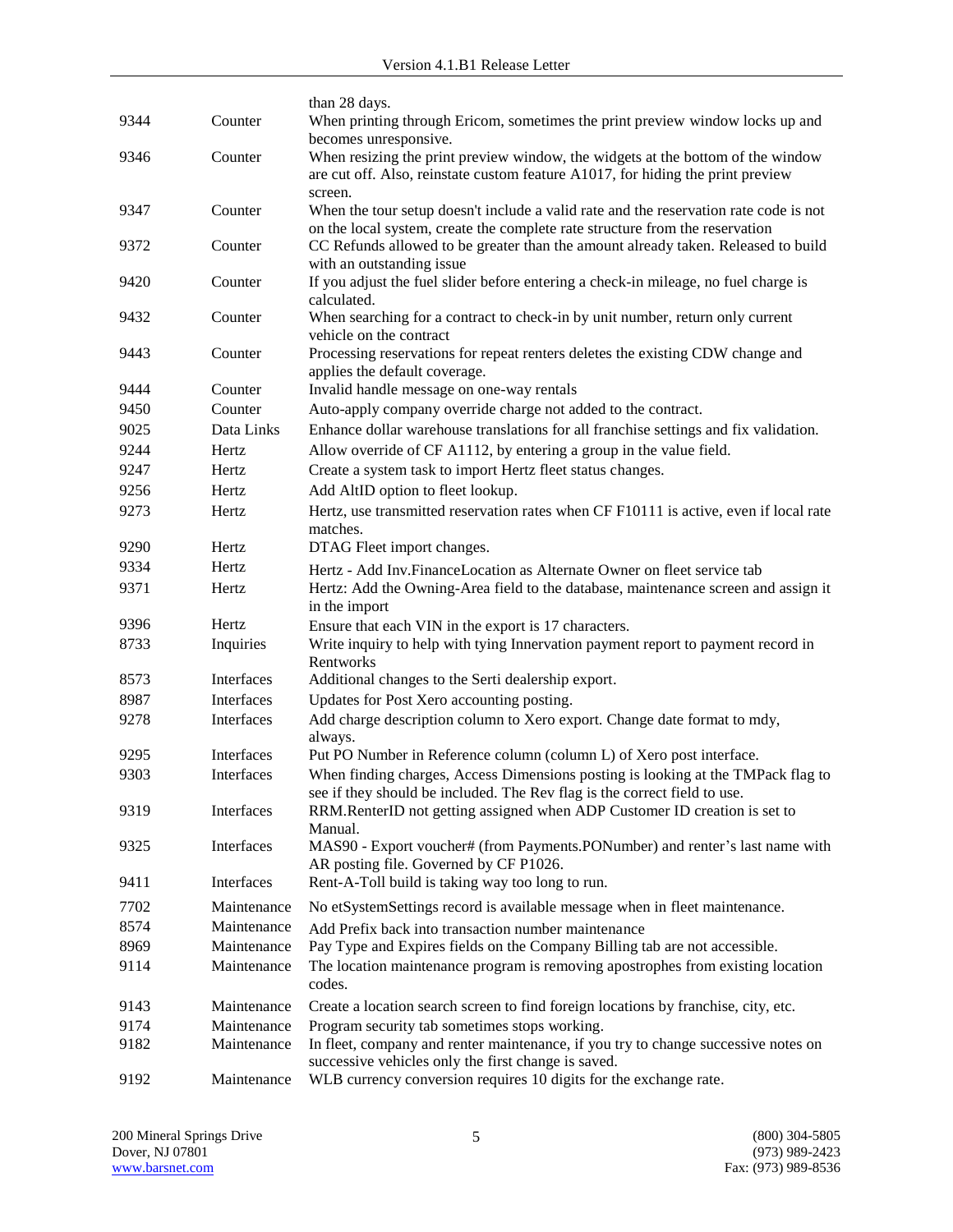| 9192 | Maintenance        | WLB currency conversion requires 10 digits for the exchange rate.                                                                                                                           |
|------|--------------------|---------------------------------------------------------------------------------------------------------------------------------------------------------------------------------------------|
| 9182 | Maintenance        | In fleet, company and renter maintenance, if you try to change successive notes on<br>successive vehicles only the first change is saved.                                                   |
| 9174 | Maintenance        | Program security tab sometimes stops working.                                                                                                                                               |
| 9143 | Maintenance        | Create a location search screen to find foreign locations by franchise, city, etc.                                                                                                          |
|      |                    | codes.                                                                                                                                                                                      |
| 9114 | Maintenance        | The location maintenance program is removing apostrophes from existing location                                                                                                             |
| 8969 | Maintenance        | Pay Type and Expires fields on the Company Billing tab are not accessible.                                                                                                                  |
| 8574 | Maintenance        | Add Prefix back into transaction number maintenance                                                                                                                                         |
| 7702 | Maintenance        | No etSystemSettings record is available message when in fleet maintenance.                                                                                                                  |
| 9411 | Interfaces         | AR posting file. Governed by CF P1026.<br>Rent-A-Toll build is taking way too long to run.                                                                                                  |
| 9325 | Interfaces         | Manual.<br>MAS90 - Export voucher# (from Payments.PONumber) and renter's last name with                                                                                                     |
| 9319 | Interfaces         | see if they should be included. The Rev flag is the correct field to use.<br>RRM.RenterID not getting assigned when ADP Customer ID creation is set to                                      |
| 9303 | Interfaces         | When finding charges, Access Dimensions posting is looking at the TMPack flag to                                                                                                            |
| 9295 | Interfaces         | always.<br>Put PO Number in Reference column (column L) of Xero post interface.                                                                                                             |
| 9278 | Interfaces         | Add charge description column to Xero export. Change date format to mdy,                                                                                                                    |
| 8987 | Interfaces         | Updates for Post Xero accounting posting.                                                                                                                                                   |
| 8573 | Interfaces         | Additional changes to the Serti dealership export.                                                                                                                                          |
| 8733 | Inquiries          | Write inquiry to help with tying Innervation payment report to payment record in<br>Rentworks                                                                                               |
| 9396 | Hertz              | Ensure that each VIN in the export is 17 characters.                                                                                                                                        |
| 9371 | Hertz              | Hertz: Add the Owning-Area field to the database, maintenance screen and assign it<br>in the import                                                                                         |
| 9334 | Hertz              | Hertz - Add Inv.FinanceLocation as Alternate Owner on fleet service tab                                                                                                                     |
| 9290 | Hertz              | DTAG Fleet import changes.                                                                                                                                                                  |
| 9273 | Hertz              | Hertz, use transmitted reservation rates when CF F10111 is active, even if local rate<br>matches.                                                                                           |
| 9256 | Hertz              | Add AltID option to fleet lookup.                                                                                                                                                           |
| 9247 | Hertz              | Create a system task to import Hertz fleet status changes.                                                                                                                                  |
| 9244 | Hertz              | Allow override of CF A1112, by entering a group in the value field.                                                                                                                         |
| 9025 | Data Links         | Enhance dollar warehouse translations for all franchise settings and fix validation.                                                                                                        |
| 9450 |                    | Auto-apply company override charge not added to the contract.                                                                                                                               |
| 9444 | Counter<br>Counter | Invalid handle message on one-way rentals                                                                                                                                                   |
| 9443 | Counter            | Processing reservations for repeat renters deletes the existing CDW change and<br>applies the default coverage.                                                                             |
|      |                    | vehicle on the contract                                                                                                                                                                     |
| 9432 | Counter            | calculated.<br>When searching for a contract to check-in by unit number, return only current                                                                                                |
| 9420 | Counter            | with an outstanding issue<br>If you adjust the fuel slider before entering a check-in mileage, no fuel charge is                                                                            |
| 9372 | Counter            | on the local system, create the complete rate structure from the reservation<br>CC Refunds allowed to be greater than the amount already taken. Released to build                           |
| 9347 | Counter            | screen.<br>When the tour setup doesn't include a valid rate and the reservation rate code is not                                                                                            |
| 9346 | Counter            | becomes unresponsive.<br>When resizing the print preview window, the widgets at the bottom of the window<br>are cut off. Also, reinstate custom feature A1017, for hiding the print preview |
| 9344 | Counter            | than 28 days.<br>When printing through Ericom, sometimes the print preview window locks up and                                                                                              |
|      |                    |                                                                                                                                                                                             |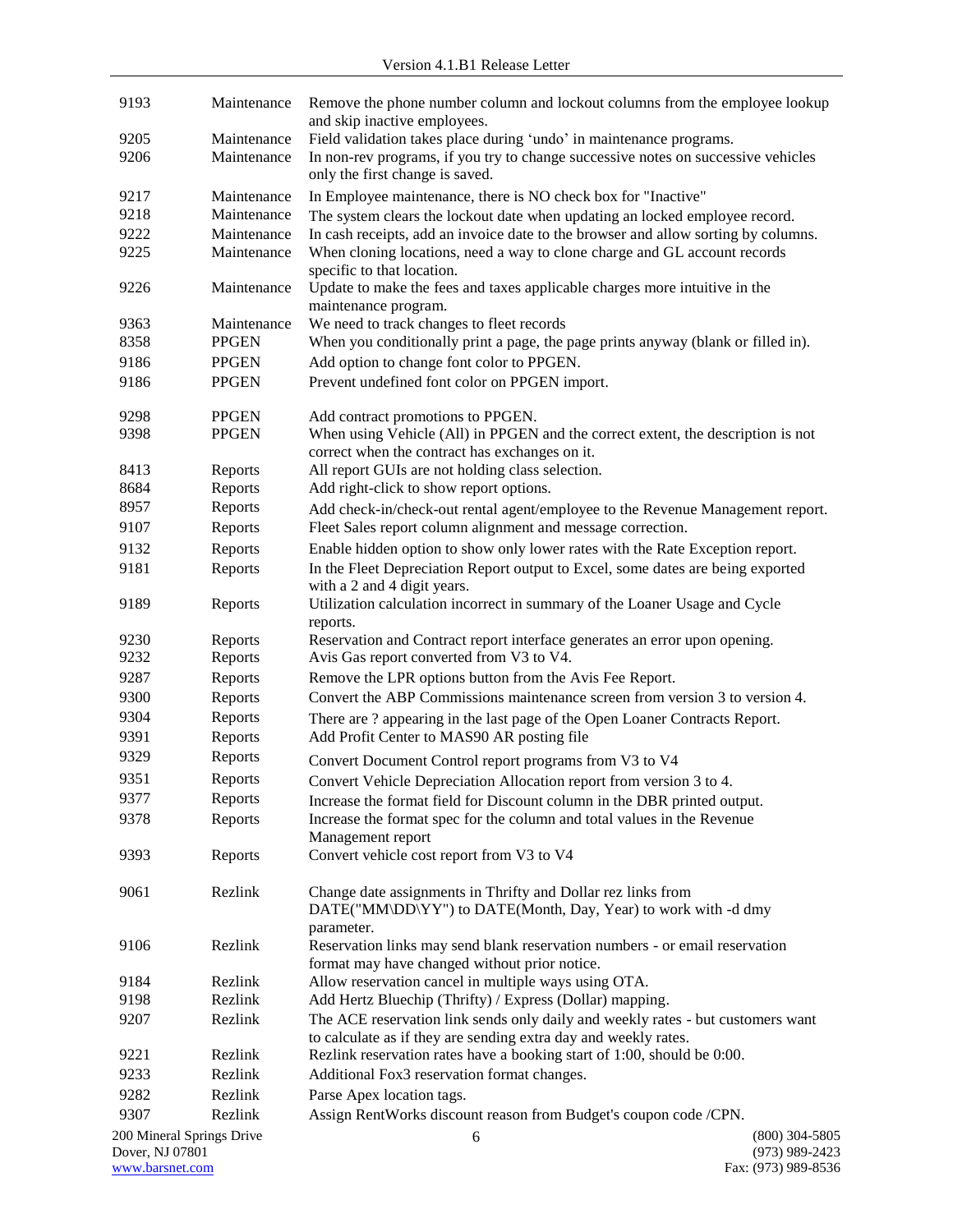| 9193            | Maintenance               | Remove the phone number column and lockout columns from the employee lookup<br>and skip inactive employees.                                  |                                      |
|-----------------|---------------------------|----------------------------------------------------------------------------------------------------------------------------------------------|--------------------------------------|
| 9205            | Maintenance               | Field validation takes place during 'undo' in maintenance programs.                                                                          |                                      |
| 9206            | Maintenance               | In non-rev programs, if you try to change successive notes on successive vehicles                                                            |                                      |
|                 |                           | only the first change is saved.                                                                                                              |                                      |
| 9217            | Maintenance               | In Employee maintenance, there is NO check box for "Inactive"                                                                                |                                      |
| 9218            | Maintenance               | The system clears the lockout date when updating an locked employee record.                                                                  |                                      |
| 9222            | Maintenance               | In cash receipts, add an invoice date to the browser and allow sorting by columns.                                                           |                                      |
| 9225            | Maintenance               | When cloning locations, need a way to clone charge and GL account records<br>specific to that location.                                      |                                      |
| 9226            | Maintenance               | Update to make the fees and taxes applicable charges more intuitive in the<br>maintenance program.                                           |                                      |
| 9363            | Maintenance               | We need to track changes to fleet records                                                                                                    |                                      |
| 8358            | <b>PPGEN</b>              | When you conditionally print a page, the page prints anyway (blank or filled in).                                                            |                                      |
| 9186            | <b>PPGEN</b>              | Add option to change font color to PPGEN.                                                                                                    |                                      |
| 9186            | <b>PPGEN</b>              | Prevent undefined font color on PPGEN import.                                                                                                |                                      |
| 9298            | <b>PPGEN</b>              | Add contract promotions to PPGEN.                                                                                                            |                                      |
| 9398            | <b>PPGEN</b>              | When using Vehicle (All) in PPGEN and the correct extent, the description is not<br>correct when the contract has exchanges on it.           |                                      |
| 8413            | Reports                   | All report GUIs are not holding class selection.                                                                                             |                                      |
| 8684            | Reports                   | Add right-click to show report options.                                                                                                      |                                      |
| 8957            | Reports                   | Add check-in/check-out rental agent/employee to the Revenue Management report.                                                               |                                      |
| 9107            | Reports                   | Fleet Sales report column alignment and message correction.                                                                                  |                                      |
| 9132            | Reports                   | Enable hidden option to show only lower rates with the Rate Exception report.                                                                |                                      |
| 9181            | Reports                   | In the Fleet Depreciation Report output to Excel, some dates are being exported<br>with a 2 and 4 digit years.                               |                                      |
| 9189            | Reports                   | Utilization calculation incorrect in summary of the Loaner Usage and Cycle<br>reports.                                                       |                                      |
| 9230            | Reports                   | Reservation and Contract report interface generates an error upon opening.                                                                   |                                      |
| 9232            | Reports                   | Avis Gas report converted from V3 to V4.                                                                                                     |                                      |
| 9287            | Reports                   | Remove the LPR options button from the Avis Fee Report.                                                                                      |                                      |
| 9300            | Reports                   | Convert the ABP Commissions maintenance screen from version 3 to version 4.                                                                  |                                      |
| 9304            | Reports                   | There are ? appearing in the last page of the Open Loaner Contracts Report.                                                                  |                                      |
| 9391            | Reports                   | Add Profit Center to MAS90 AR posting file                                                                                                   |                                      |
| 9329            | Reports                   |                                                                                                                                              |                                      |
| 9351            | Reports                   | Convert Document Control report programs from V3 to V4                                                                                       |                                      |
|                 |                           | Convert Vehicle Depreciation Allocation report from version 3 to 4.                                                                          |                                      |
| 9377            | Reports                   | Increase the format field for Discount column in the DBR printed output.                                                                     |                                      |
| 9378            | Reports                   | Increase the format spec for the column and total values in the Revenue<br>Management report                                                 |                                      |
| 9393            | Reports                   | Convert vehicle cost report from V3 to V4                                                                                                    |                                      |
| 9061            | Rezlink                   | Change date assignments in Thrifty and Dollar rez links from<br>DATE("MM\DD\YY") to DATE(Month, Day, Year) to work with -d dmy<br>parameter. |                                      |
| 9106            | Rezlink                   | Reservation links may send blank reservation numbers - or email reservation<br>format may have changed without prior notice.                 |                                      |
| 9184            | Rezlink                   | Allow reservation cancel in multiple ways using OTA.                                                                                         |                                      |
| 9198            | Rezlink                   | Add Hertz Bluechip (Thrifty) / Express (Dollar) mapping.                                                                                     |                                      |
| 9207            | Rezlink                   | The ACE reservation link sends only daily and weekly rates - but customers want                                                              |                                      |
|                 |                           | to calculate as if they are sending extra day and weekly rates.                                                                              |                                      |
| 9221            | Rezlink                   | Rezlink reservation rates have a booking start of 1:00, should be 0:00.                                                                      |                                      |
| 9233            | Rezlink                   | Additional Fox3 reservation format changes.                                                                                                  |                                      |
| 9282            | Rezlink                   | Parse Apex location tags.                                                                                                                    |                                      |
| 9307            | Rezlink                   | Assign RentWorks discount reason from Budget's coupon code /CPN.                                                                             |                                      |
| Dover, NJ 07801 | 200 Mineral Springs Drive | 6                                                                                                                                            | $(800)$ 304-5805<br>$(973)$ 989-2423 |

[www.barsnet.com](http://www.barsnet.com/) Fax: (973) 989-8536